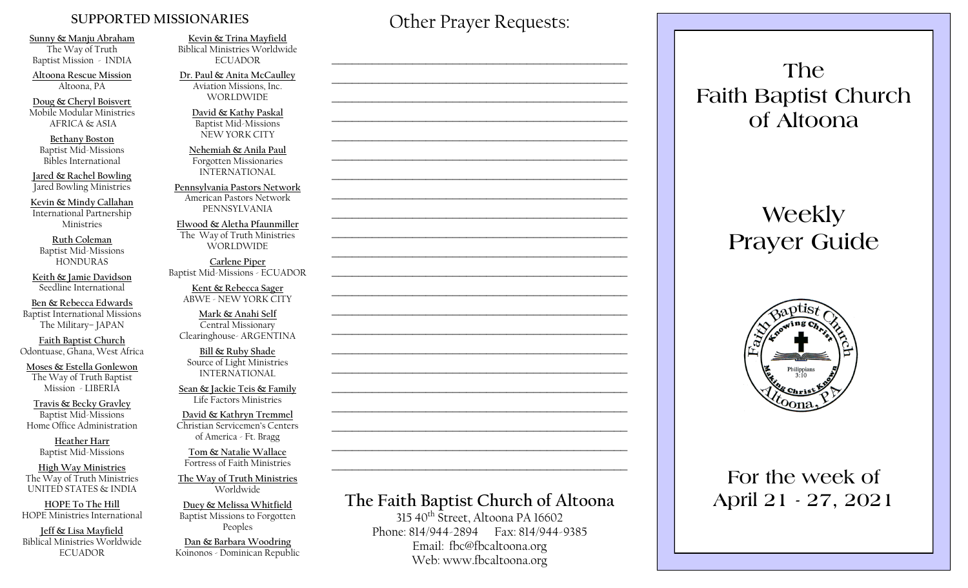#### **SUPPORTED MISSIONARIES**

**Sunny & Manju Abraham**  The Way of Truth Baptist Mission - INDIA

**Altoona Rescue Mission** Altoona, PA

**Doug & Cheryl Boisvert** Mobile Modular Ministries AFRICA & ASIA

**Bethany Boston** Baptist Mid-Missions Bibles International

**Jared & Rachel Bowling** Jared Bowling Ministries

**Kevin & Mindy Callahan** International Partnership Ministries

**Ruth Coleman** Baptist Mid-Missions HONDURAS

**Keith & Jamie Davidson** Seedline International

**Ben & Rebecca Edwards** Baptist International Missions The Military– JAPAN

**Faith Baptist Church** Odontuase, Ghana, West Africa

**Moses & Estella Gonlewon** The Way of Truth Baptist Mission - LIBERIA

**Travis & Becky Gravley**  Baptist Mid-Missions Home Office Administration

> **Heather Harr** Baptist Mid-Missions

**High Way Ministries** The Way of Truth Ministries UNITED STATES & INDIA

**HOPE To The Hill** HOPE Ministries International

**Jeff & Lisa Mayfield** Biblical Ministries Worldwide **ECUADOR** 

**Kevin & Trina Mayfield** Biblical Ministries Worldwide **ECUADOR** 

**Dr. Paul & Anita McCaulley** Aviation Missions, Inc. WORLDWIDE

> **David & Kathy Paskal** Baptist Mid-Missions NEW YORK CITY

**Nehemiah & Anila Paul** Forgotten Missionaries INTERNATIONAL

**Pennsylvania Pastors Network** American Pastors Network PENNSYLVANIA

**Elwood & Aletha Pfaunmiller** The Way of Truth Ministries WORLDWIDE

**Carlene Piper** Baptist Mid-Missions - ECUADOR

> **Kent & Rebecca Sager** ABWE - NEW YORK CITY

**Mark & Anahi Self** Central Missionary Clearinghouse- ARGENTINA

**Bill & Ruby Shade** Source of Light Ministries INTERNATIONAL

**Sean & Jackie Teis & Family** Life Factors Ministries

**David & Kathryn Tremmel**  Christian Servicemen's Centers of America - Ft. Bragg

**Tom & Natalie Wallace** Fortress of Faith Ministries

**The Way of Truth Ministries**  Worldwide

**Duey & Melissa Whitfield** Baptist Missions to Forgotten Peoples

**Dan & Barbara Woodring**  Koinonos - Dominican Republic Other Prayer Requests:

 $\mathcal{L}_\text{max}$  and  $\mathcal{L}_\text{max}$  and  $\mathcal{L}_\text{max}$  and  $\mathcal{L}_\text{max}$  and  $\mathcal{L}_\text{max}$ 

 $\mathcal{L}_\text{max}$  , and the contract of the contract of the contract of the contract of the contract of the contract of the contract of the contract of the contract of the contract of the contract of the contract of the contr

 $\mathcal{L}_\text{max}$  and  $\mathcal{L}_\text{max}$  and  $\mathcal{L}_\text{max}$  and  $\mathcal{L}_\text{max}$  and  $\mathcal{L}_\text{max}$ 

 $\mathcal{L}_\text{max}$  and  $\mathcal{L}_\text{max}$  and  $\mathcal{L}_\text{max}$  and  $\mathcal{L}_\text{max}$  and  $\mathcal{L}_\text{max}$ 

 $\mathcal{L}_\text{max}$  , and the contract of the contract of the contract of the contract of the contract of the contract of the contract of the contract of the contract of the contract of the contract of the contract of the contr

# **The Faith Baptist Church of Altoona**   $315\,40$ <sup>th</sup> Street, Altoona PA 16602  $\mathcal{L}_\text{max}$  , and the contract of the contract of the contract of the contract of the contract of the contract of the contract of the contract of the contract of the contract of the contract of the contract of the contr  $\mathcal{L}_\text{max}$  , and the contract of the contract of the contract of the contract of the contract of the contract of the contract of the contract of the contract of the contract of the contract of the contract of the contr  $\mathcal{L}_\text{max}$  and  $\mathcal{L}_\text{max}$  and  $\mathcal{L}_\text{max}$  and  $\mathcal{L}_\text{max}$  and  $\mathcal{L}_\text{max}$  $\mathcal{L}_\text{max}$  , and the contract of the contract of the contract of the contract of the contract of the contract of the contract of the contract of the contract of the contract of the contract of the contract of the contr  $\mathcal{L}_\text{max}$  , and the contract of the contract of the contract of the contract of the contract of the contract of the contract of the contract of the contract of the contract of the contract of the contract of the contr  $\mathcal{L}_\text{max}$  , and the contract of the contract of the contract of the contract of the contract of the contract of the contract of the contract of the contract of the contract of the contract of the contract of the contr  $\mathcal{L}_\text{max}$  , and the contract of the contract of the contract of the contract of the contract of the contract of the contract of the contract of the contract of the contract of the contract of the contract of the contr  $\mathcal{L}_\text{max}$  and  $\mathcal{L}_\text{max}$  and  $\mathcal{L}_\text{max}$  and  $\mathcal{L}_\text{max}$  and  $\mathcal{L}_\text{max}$  $\mathcal{L}_\text{max}$  , and the contract of the contract of the contract of the contract of the contract of the contract of the contract of the contract of the contract of the contract of the contract of the contract of the contr  $\mathcal{L}_\text{max}$  , and the contract of the contract of the contract of the contract of the contract of the contract of the contract of the contract of the contract of the contract of the contract of the contract of the contr

Phone: 814/944-2894 Fax: 814/944-9385 Email: fbc@fbcaltoona.org Web: www.fbcaltoona.org

## **The Faith Baptist Church of Altoona**

# **Weekly Prayer Guide**



### **For the week of April 21 - 27, 2021**